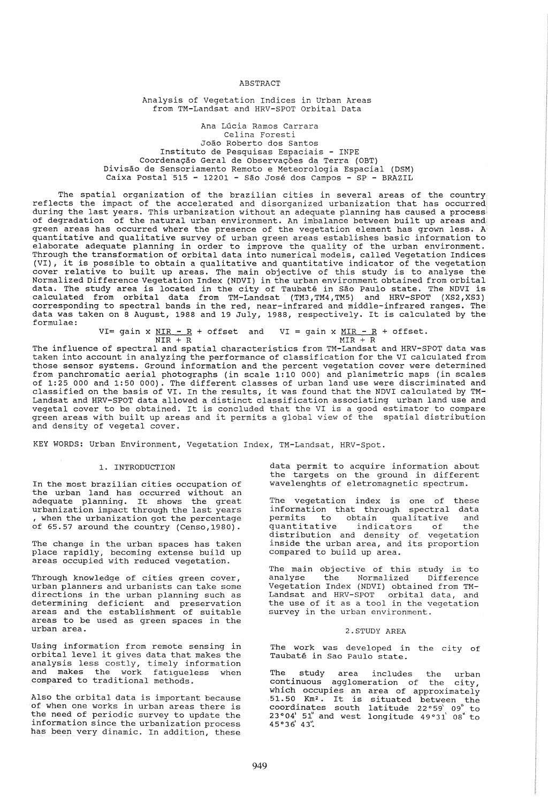ABSTRACT

Analysis of Vegetation Indices in Urban Areas from TM-Landsat and HRV-SPOT Orbital Data

Ana Lucia Ramos Carrara **Celina Foresti**  Joao Roberto dos Santos Instituto de Pesquisas Espaciais - INPE Coordenação Geral de Observações da Terra (OBT) Divisao de Sensoriamento Remoto e Meteorologia Espacial (DSM) Caixa Postal 515 - 12201 - Sao Jose dos Campos - SP - BRAZIL

The spatial organization of the brazilian cities in several areas of the country reflects the impact of the accelerated and disorganized urbanization that has occurred during the last years. This urbanization without an adequate planning has caused a process' of degradation of the natural urban environment. An imbalance between built up areas and green areas has occurred where the presence of the vegetation element has grown less. A quantitative and qualitative survey of urban green areas establishes basic information to elaborate adequate planning in order to improve the quality of the urban environment. Through the transformation of orbital data into numerical models, called Vegetation Indices (VI), it is possible to obtain a qualitative and quantitative indicator of the vegetation cover relative to built up areas. The main objective of this study is to analyse the Normalized Difference Vegetation Index (NDVI) in the urban environment obtained from orbital data. The study area is located in the city of Taubate in Sao Paulo state. The NDVI is calculated from orbital data from TM-Landsat' (TM3, TM4, TM5) and HRV-SPOT (XS2, XS3) corresponding to spectral bands in the red, near-infrared and middle-infrared ranges. The data was taken on 8 August, 1988 and 19 July, 1988, respectively. It is calculated by the formulae:

> VI= gain x  $\frac{NIR - R}{NIR + R}$  + offset and VI = gain x  $\frac{MIR - R}{MIR + R}$  + offset.  $MIR + R$

The influence of spectral and spatial characteristics from TM-Landsat and HRV-SPOT data was taken into account in analyzing the performance of classification for the VI calculated from those sensor systems. Ground information and the percent vegetation cover were determined from panchromatic aerial photographs (in scale 1:10 000) and planimetric maps (in scales of 1:25 000 and 1:50 000). The different classes of urban land use were discriminated and classified on the basis of VI. In the results, it was found that the NDVI calculated by TM-Landsat and HRV-SPOT data allowed a distinct classification associating urban land use and vegetal cover to be obtained. It is concluded that the VI is a good estimator to compare vegetal cover to be obtained. It is concluded that the vi is a good estimator to compare<br>green areas with built up areas and it permits a global view of the spatial distribution and density of vegetal cover.

KEY WORDS: Urban Environment, Vegetation Index, TM-Landsat, HRV-Spot.

#### 1. INTRODUCTION

In the most brazilian cities occupation of the urban land has occurred without an adequate planning. It shows the great urbanization impact through the last years , when the urbanization got the percentage of 65.57 around the country (Censo,1980).

The change in the urban spaces has taken place rapidly, becoming extense build up areas occupied with reduced vegetation.

Through knowledge of cities green cover, urban planners and urbanists can take some directions in the urban planning such as arreservies in the driven premiing been as areas and the establishment of suitable areas to be used as green spaces in the urban area.

Using information from remote sensing in orbital level it gives data that makes the analysis less costly, timely information and makes the work fatigueless when compared to traditional methods.

Also the orbital data is important because of when one works in urban areas there is the need of periodic survey to update the information since the urbanization process has been very dinamic. In addition, these

data permit to acquire information about the targets on the ground in different wavelenghts of eletromagnetic spectrum.

The vegetation index is one of these information that through spectral data permits to obtain qualitative and<br>quantitative indicators of the quantitative indicators of the distribution and density of vegetation inside the urban area, and its proportion compared to build up area.

The main objective of this study is to analyse the Normalized Difference Vegetation Index (NDVI) obtained from TM-Landsat and HRV-SPOT orbital data, and the use of it as a tool in the vegetation survey in the urban environment.

## 2.STUDY AREA

The work was developed in the city of Taubate in Sao Paulo state.

The study area includes the urban continuous agglomeration of the city, which occupies an area of approximately  $51.50$  Km<sup>2</sup>. It is situated between the coordinates south latitude 22°59' 09" to  $23°04'$  51" and west longitude  $49°31'$  08" to  $45°36'$  43".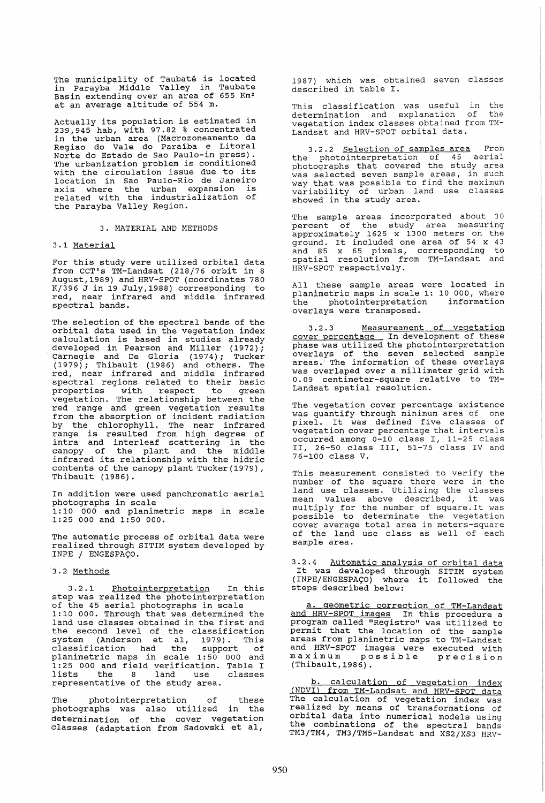The municipality of Taubate is located in Parayba Middle Valley in Taubate Basin extending over an area of 655 Km2 at an average altitude of 554 m.

Actually its population is estimated in 239,945 hab, with 97.82 % concentrated in the urban area (Macrozoneamento da ni che urban urba (nacrobonommento un Norte do Estado de Sao Paulo-in press) . The urbanization problem is conditioned with the circulation issue due to its location in Sao Paulo-Rio de Janeiro axis where the urban expansion is related with the industrialization of the Parayba Valley Region.

#### 3. MATERIAL AND METHODS

## 3.1 Material

For this study were utilized orbital data from CCT's TM-Landsat (218/76 orbit in 8 August,1989) and HRV-SPOT (coordinates 780 K/396 J in 19 July,1988) corresponding to red, near infrared and middle infrared spectral bands.

The selection of the spectral bands of the orbital data used in the vegetation index calculation is based in studies already developed in Pearson and Miller (1972); Carnegie and De Gloria (1974); Tucker (1979); Thibault (1986) and others. The red, near infrared and middle infrared spectral regions related to their basic properties with respect to green vegetation. The relationship between the red range and green vegetation results from the absorption of incident radiation by the chlorophyll. The near infrared by the chiclophylic inc hear inflated<br>range is resulted from high degree of intra and interleaf scattering in the canopy of the plant and the middle infrared its relationship with the hidric contents of the canopy plant Tucker(1979) , Thibault (1986).

In addition were used panchromatic aerial photographs in scale 1: 10 000 and planimetric maps in scale 1:25 000 and 1:50 000.

The automatic process of orbital data were realized through SITIM system developed by INPE / ENGESPAÇO.

## 3.2 Methods

3.2.1 Photointerpretation In this step was realized the photointerpretation of the 45 aerial photographs in scale 1:10 000. Through that was determined the land use classes obtained in the first and the second level of the classification system (Anderson et aI, 1979). This spoce. (inaction of all, 1979). This planimetric maps in scale 1: 50 000 and 1:25 000 and field verification. Table I lists the 8 land use classes representative of the study area.

The photointerpretation of these photographs was also utilized in the determination of the cover vegetation classes (adaptation from Sadowski et aI,

1987) which was obtained seven classes described in table I.

This classification was useful in the determination and explanation of the vegetation index classes obtained from TM-Landsat and HRV-SPOT orbital data.

3.2.2 Selection of samples area From the photointerpretation of 45 aerial photographs that covered the study area was selected seven sample areas, in such way that was possible to find the maximum variability of urban land use classes showed in the study area.

The sample areas incorporated about 30 percent of the study area measuring approximately 1625 x 1300 meters on the approximately 1625 x 1500 meters on the<br>ground. It included one area of 54 x 43 and 85 x 65 pixels, corresponding to spatial resolution from TM-Landsat and HRV-SPOT respectively.

All these sample areas were located in planimetric maps in scale 1: 10 000, where the photointerpretation information overlays were transposed.

3.2.3 Measureament of vegetation cover percentage In development of these phase was utilized the photointerpretation overlays of the seven selected sample areas.' The information of these overlays was overlaped over a millimeter grid with ·0.09 centimeter-square relative to TM-Landsat spatial resolution.

The vegetation cover percentage existence was quantify through minimum area of one pixel. It was defined five classes of vegetation cover percentage that intervals occurred among 0-10 class I, 11-25 class II, 26-50 class III, 51-75 class IV and 76-100 class V.

This measurement consisted to verify the number of the square there were in the land use classes. utilizing the classes mean values above described, it was multiply for the number of square.It was possible to determinate the vegetation cover average total area in meters-square of the land use class as well of each sample area.

3.2.4 Automatic analysis of orbital data It was developed through SITIM system  $(INPE/ENGESPACO)$  where it followed the steps described below:

a. geometric correction of TM-Landsat and HRV-SPOT images In this procedure a program called "Registro" was utilized to permit that the location of the sample areas from planimetric maps to TM-Landsat and HRV-SPOT images were executed with maximum possible precision (Thibault, 1986) .

b. calculation of vegetation index (NDVI) from TM-Landsat and HRV-SPOT data The calculation of vegetation index was realized by means of transformations of orbital data into numerical models using the combinations of the spectral bands TM3/TM4, TM3/TM5-Landsat and *XS2jXS3* HRV-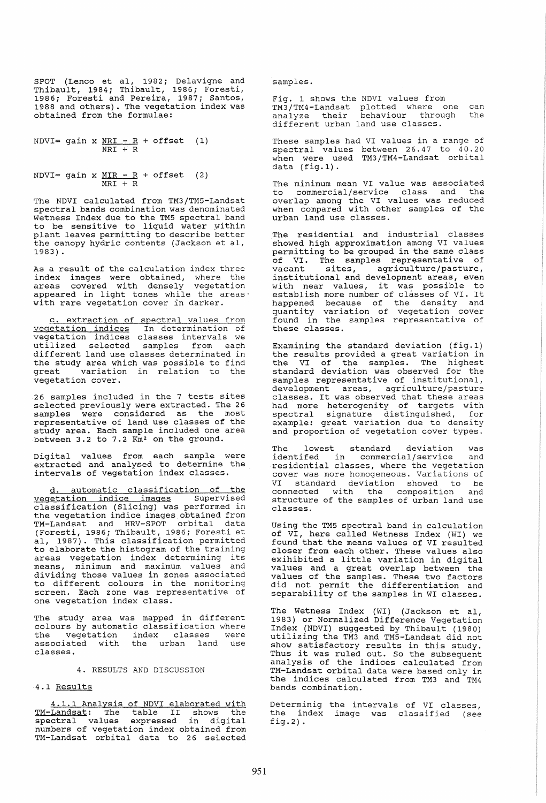SPOT (Lenco et aI, 1982; Delavigne and Thibault, 1984; Thibault, 1986; Foresti, 1986; Foresti and Pereira, 1987; Santos, 1988 and others). The vegetation index was obtained from the formulae:

NDVI= gain x  $NRI - R +$  offset (1) NRI + R

NDVI= gain x  $MIR - R +$  offset (2)  $MRT + R$ 

The NDVI calculated from TM3/TM5-Landsat spectral bands combination was denominated Wetness Index due to the TM5 spectral band to be sensitive to liquid water within plant leaves permitting to describe better the canopy hydric contents (Jackson et aI, 1983) .

As a result of the calculation index three index images were obtained, Where the areas covered with densely vegetation appeared in light tones while the areas' with rare vegetation cover in darker.

extraction of spectral values from vegetation indices In determination of vegetation indices classes intervals we utilized selected samples from each different land use classes determinated in the study area which was possible to find<br>great variation in relation to the variation in relation to the vegetation cover.

26 samples included in the 7 tests sites selected previously were extracted. The 26 samples were considered as the most representative of land use classes of the study area. Each sample included one area between 3.2 to 7.2 Km<sup>2</sup> on the ground.

Digital values from each sample were extracted and analysed to determine the intervals of vegetation index classes.

automatic classification of the vegetation indice images Supervised classification (Slicing) was performed in the vegetation indice images obtained from TM-Landsat and HRV-SPOT orbital data (Foresti, 1986; Thibault, 1986; Foresti et aI, 1987). This classification permitted to elaborate the histogram of the training<br>areas vegetation index determining its<br>means. minimum and maximum values and minimum and maximum values dividing those values in zones associated to different colours in the monitoring screen. Each zone was representative of one vegetation index class.

The study area was mapped in different colours by automatic classification where<br>the vegetation index classes were associated with the urban land use<br>classes.

#### 4. RESULTS AND DISCUSSION

# 4.1 Results

4.1.1 Analysis of NDVI elaborated with **The Community of the Chapter Community**<br>TM-Landsat: The table II shows the **Example 11** cannot in the control of the sectral values expressed in digital numbers of vegetation index obtained from numbers of regearded inden escarned from samples.

Fig. 1 shows the NDVI values from TM3/TM4-Landsat plotted where one can analyze their behaviour through the different urban land use classes.

These samples had VI values in a range of spectral values between 26.47 to 40.20 when were used TM3/TM4-Landsat orbital data (fig.1).

The minimum mean VI value was associated to commercial/ service class and the overlap among the VI values was reduced when compared with other samples of the urban land use classes.

The residential and industrial classes showed high approximation among VI values permitting to be grouped in the same class of VI. The samples representative of vacant sites, agriculture/pasture,<br>institutional and development areas, even institutional and development areas, even with near values, it was possible to with hear values, it was possible to<br>establish more number of classes of VI. It happened because of the density and quantity variation of vegetation cover found in the samples representative of these classes.

Examining the standard deviation (fig.l) the results provided a great variation in the VI of the samples. The highest standard deviation was observed for the samples representative of institutional, development areas, agriculture/pasture classes. It was observed that these areas had more heterogenity of targets with spectral signature distinguished, for example: great variation due to density and proportion of vegetation cover types.

The lowest standard deviation was identifed in commercial/service and residential classes, where the vegetation cover was more homogeneous. Variations of cover was more homogeneous. Variations of<br>VI standard deviation showed to be<br>connected with the composition and connected with the composition structure of the samples of urban land use classes.

Using the TM5 spectral band in calculation of VI, here called Wetness Index (WI) we found that the means values of VI resulted closer from each other. These values also exihibited a little variation in digital values and a great overlap between the values of the samples. These two factors did not permit the differentiation and separability of the samples in WI classes.

The Wetness Index (WI) (Jackson et aI, 1983) or Normalized Difference Vegetation Index (NDVI) suggested by Thibault (1980) utilizing the TM3 and TM5-Landsat did not show satisfactory results in this study. Thus it was ruled out. So the subsequent analysis of the indices calculated from TM-Landsat orbital data were based only in the indices calculated from TM3 and TM4 bands combination.

Determinig the intervals of VI classes, the index image was classified (see fig.  $2)$ .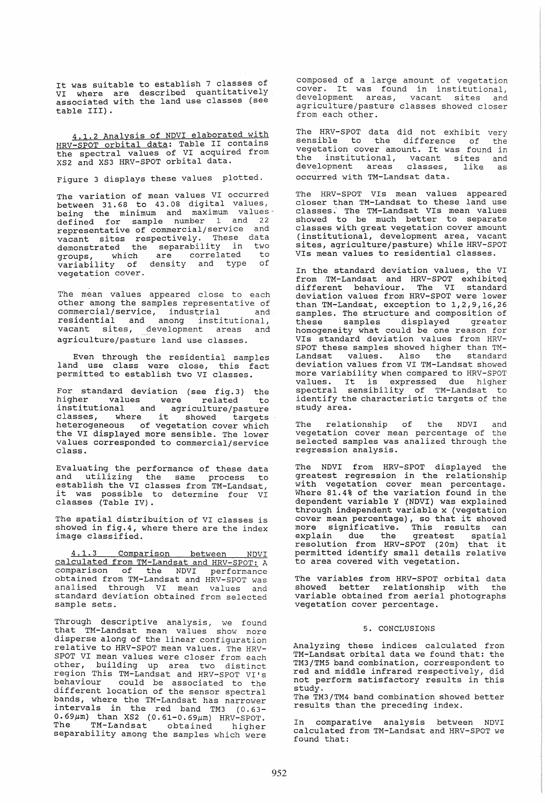It was suitable to establish 7 classes of VI where are described quantitatively associated with the land use classes (see table III).

4.1.2 Analysis of NDVI elaborated with HRV-SPOT orbital data: Table II contains the spectral values of VI acquired from XS2 and XS3 HRV-SPOT orbital data.

Figure 3 displays these values plotted.

The variation of mean values VI occurred between 31.68 to 43. 08 digital values, being the minimum and maximum values. defined for sample number 1 and 22 representative of commercial/service and vacant sites respectively. These data demonstrated the separability in two groups, which are correlated to variability of density and type of vegetation cover.

The mean values appeared close to each other among the samples representative of<br>commercial/service, industrial and commercial/service, industrial and residential and among institutional, vacant sites, development areas and agriculture/pasture land use classes.

Even through the residential samples land use class were close, this fact permitted to establish two VI classes.

For standard deviation (see fig. 3) the higher values were related to institutional and agriculture/pasture classes, where it showed targets heterogeneous of vegetation cover which the VI displayed more sensible. The lower values corresponded to commercial/service class.

Evaluating the performance of these data and utilizing the same process to establish the VI classes from TM-Landsat, establish the VI classes from TM-Landsat,<br>it was possible to determine four VI<br>classes (Table IV).

The spatial distribuition of VI classes is showed in fig.4, where there are the index image classified.

4.1.3 Comparison between NDVI calculated from TM-Landsat and HRV-SPOT: A comparison of the NDVI performance obtained from TM-Landsat and HRV-SPOT was analised through VI mean values and standard deviation obtained from selected sample sets.

Through descriptive analysis, we found that TM-Landsat mean values show more disperse along of the linear configuration relative to HRV-SPOT mean values. The HRV-SPOT VI mean values were closer from each other, building up area two distinct region This TM-Landsat and HRV-SPOT VI's behaviour could be associated to the different location of the sensor spectral bands, where the TM-Landsat has narrower intervals in the red band TM3 (0.63-  $0.69 \mu$ m) than XS2 (0.61-0.69 $\mu$ m) HRV-SPOT. The TM-Landsat obtained higher separability among the samples which were

composed of a large amount of vegetation cover. It was found in institutional, development areas, vacant sites and agriculture/pasture classes showed closer from each other.

The HRV-SPOT data did not exhibit very sensible to the difference of the sensible to the difference of the<br>vegetation cover amount. It was found in<br>the institutional wagant sites and the institutional, vacant sites and development areas classes, like as occurred with TM-Landsat data.

The HRV-SPOT VIs mean values appeared closer than TM-Landsat to these land use<br>classes. The TM-Landsat VIs mean values showed to be much better to separate classes with great vegetation cover amount (institutional, development area, vacant sites, agriculture/pasture) while HRV-SPOT VIs mean values to residential classes.

In the standard deviation values, the VI from TM-Landsat and HRV-SPOT exhibited different behaviour. The VI standard deviation values from HRV-SPOT were lower than TM-Landsat, exception to 1,2,9,16,26 samples. The structure and composition of<br>these samples displayed greater samples displayed greater homogeneity what could be one reason for VIs standard deviation values from HRV-SPOT these samples showed higher than TM-Landsat values. Also the standard<br>deviation values from VI TM-Landsat showed more variability when compared to HRV-SPOT more variability when compared to hRV-SPOI<br>values. It is expressed due higher spectral sensibility of TM-Landsat to identify the characteristic targets of the study area.

The relationship of the NDVI and vegetation cover mean percentage of the selected samples was analized through the regression analysis.

The NDVI from HRV-SPOT displayed the greatest regression in the relationship with vegetation cover mean percentage. Where 81.4% of the variation found in the dependent variable Y (NDVI) was explained through independent variable x (vegetation cover mean percentage), so that it showed more significative. This results can explain due the greatest spatial explain due the greatest spatial<br>resolution from HRV-SPOT (20m) that it permitted identify small details relative to area covered with vegetation.

The variables from HRV-SPOT orbital data showed better relationship with the variable obtained from aerial photographs vegetation cover percentage.

## 5. CONCLUSIONS

Analyzing these indices calculated from TM-Landsat orbital data we found that: the TM3/TM5 band combination, correspondent to red and middle infrared respectively, did not perform satisfactory results in this study.

The TM3/TM4 band combination showed better results than the preceding index.

In comparative analysis between NDVI calculated from TM-Landsat and HRV-SPOT we found that: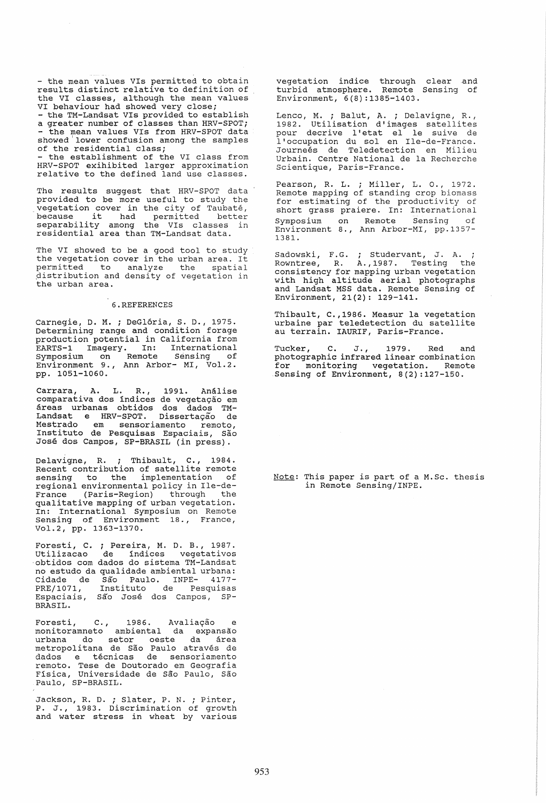- the mean values VIs permitted to obtain results distinct relative to definition of the VI classes, although the mean values<br>VI behaviour had showed very close; VI behaviour had showed very close; - the TM-Landsat VIs provided to establish<br>a greater number of classes than HRV-SPOT; a greater number of crasses channeling<br>the mean values VIs from HRV-SPOT data<br>showed lower confusion among the samples<br>of the residential class; of the residential class;<br>- the establishment of the VI class from HRV-SPOT exihibited larger approximation relative to the defined land use classes.

The results suggest that HRV-SPOT data provided to be more useful to study the vegetation cover in the city of Taubaté,<br>because it had permitted better separability among the VIs classes in residential area than TM-Landsat data.

The VI showed to be a good tool to study the vegetation cover in the urban area. It permitted to analyze the spatial distribution and density of vegetation in the urban area.

#### 6.REFERENCES

Carnegie, D. M. ; DeGlória, S. D., 1975. Determining range and condition forage production potential in California from EARTS-1 Imagery. In: International symposium on Remote sensing of Environment 9., Ann Arbor- MI, Vol.2. pp. 1051-1060.

Carrara, A. L. R., 1991. Análise<br>comparativa dos índices de vegetacão em comparativa dos índices de vegetação em<br>áreas urbanas obtidos dos dados TM-Landsat e HRV-SPOT. Dissertação de Mestrado em sensoriamento remoto, Insti tuto de Pesquisas Espaciais, Sao Jose dos Campos, SP-BRASIL (in press) .

Delavigne, R. ; Thibault, C., 1984. Recent contribution of satellite remote sensing to the implementation of regional environmental policy in Ile-de-France (Paris-Region) through the qualitative mapping of urban vegetation. In: International Symposium on Remote sensing of Environment 18., France, Vol.2, pp. 1363-1370.

Foresti, C. ; Pereira, M. D. B., 1987. utilizacao de indices vegetativos 'obtidos com dados do sistema TM-Landsat no estudo da qualidade ambiental urbana: no estudo da qualidade ambiental urbana:<br>Cidade de São Paulo. INPE- 4177-PRE/1071, Instituto de pesquisas Espaciais, Sao Jose dos Campos, SP-BRASIL.

Foresti, C., 1986. Avaliação e<br>monitoramneto ambiental da expansão urbana do setor oeste da área<br>urbana do setor oeste da área<br>metropolitana de São Paulo através de dados e técnicas de sensoriamento remoto. Tese de Doutorado em Geografia Fisica, Universidade de Sao Paulo, Sao Paulo, SP-BRASIL.

Jackson, R. D. ; Slater, P. N. *i* Pinter, P. J., 1983. Discrimination of growth and water stress in wheat by various

vegetation indice through clear and turbid atmosphere. Remote Sensing of Environment, 6(8) :1385-1403.

Lenco, M. ; Balut, A. ; Delavigne, R.,<br>1982. Utilisation d'images satellites pour decrive l'etat el le suive de pour decrive l'etat el le suive de<br>l'occupation du sol en Ile-de-France. Journeés de Teledetection en Milieu Urbain. Centre National de la Recherche Scientique, Paris-France.

Pearson, R. L. ; Miller, L. O., 1972. Remote mapping of standing crop biomass for estimating of the productivity of short grass praiere. In: International Symposium on Remote Sensing of Environment 8., Ann Arbor-MI, pp.1357- 1381.

Sadowski, F.G. ; Studervant, J. A. Rowntree, R. A., 1987. Testing the consistency for mapping urban vegetation with high altitude aerial photographs and Landsat MSS data. Remote sensing of Environment, 21(2): 129-141.

Thibault, C.,1986. Measur la vegetation urbaine par teledetection du satellite au terrain. IAURIF, Paris-France.

Tucker, C. J., 1979. Red and photographic infrared linear combination for monitoring vegetation. Remote Sensing of Environment, 8(2):127-150.

Note: This paper is part of a M.Sc. thesis in Remote Sensing/INPE.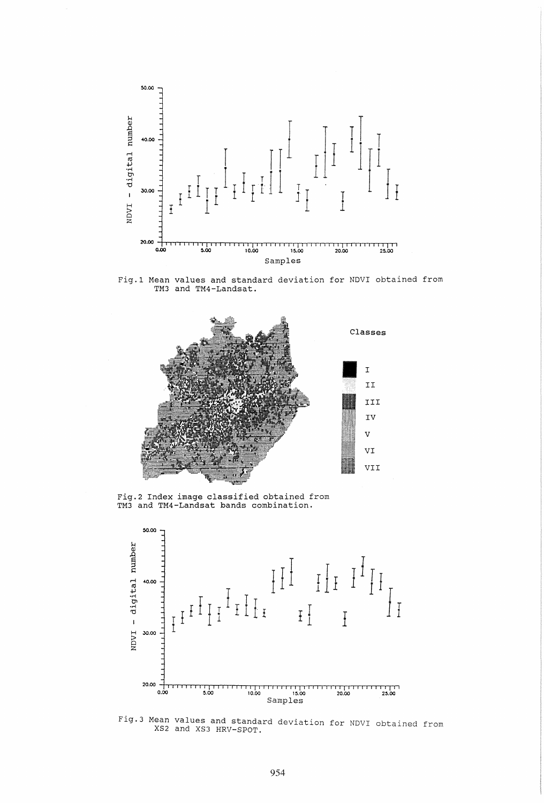

Fig.l Mean values and standard deviation for NDVI obtained from TM3 and TM4-Landsat.



Fig.2 Index image classified obtained from TM3 and TM4-Landsat bands combination.



Fig.3 Mean values and standard deviation for NDVI obtained from XS2 and XS3 HRV-SPOT.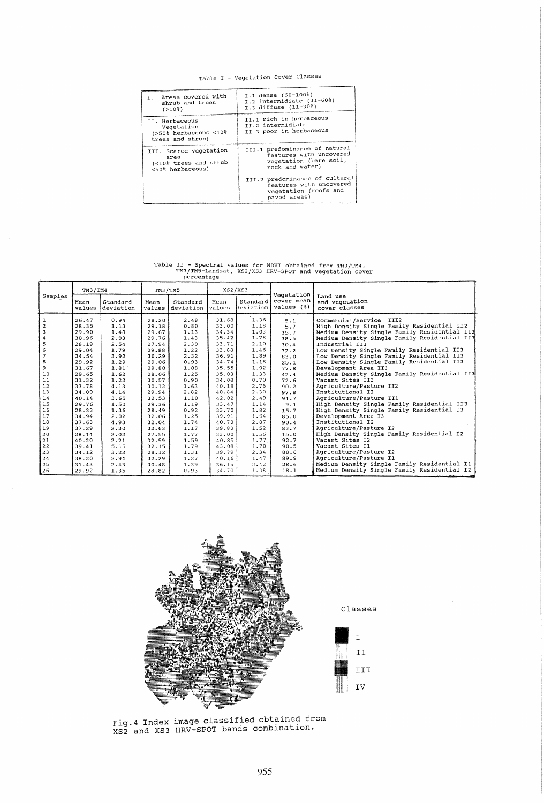# Table I - Vegetation Cover Classes

| Areas covered with<br>т.<br>shrub and trees<br>$( > 10$ <sup>2</sup> )      | I.1 dense (60-100%)<br>I.2 intermidiate (31-60%)<br>I.3 diffuse (11-30%)                              |  |  |
|-----------------------------------------------------------------------------|-------------------------------------------------------------------------------------------------------|--|--|
| II. Herbaceous<br>Vegetation<br>(>50% herbaceous <10%<br>trees and shrub)   | II.1 rich in herbaceous<br>TT.2 intermidiate<br>II.3 poor in herbaceous                               |  |  |
| III. Scarce vegetation<br>area<br>(<10% trees and shrub<br><50% herbaceous) | III.1 predominance of natural<br>features with uncovered<br>vegetation (bare soil,<br>rock and water) |  |  |
| proposed a proposed in the first control of the                             | III.2 predominance of cultural<br>features with uncovered<br>vegetation (roofs and<br>paved areas)    |  |  |

Table II - Spectral values for NDVI obtained from TM3/TM4, TM3/TM5-Landsat, XS2/XS3 HRV-SPOT and vegetation cover percentage

|                | TM3/TM4        |                       | TM3/TM5        |                       | XS2/XS3               |          |                                                  |                                              |
|----------------|----------------|-----------------------|----------------|-----------------------|-----------------------|----------|--------------------------------------------------|----------------------------------------------|
| Samples        | Mean<br>values | Standard<br>deviation | Mean<br>values | Standard<br>deviation | Mean<br><i>values</i> | Standard | Vegetation<br>cover mean<br>deviation values (%) | Land use<br>and vegetation<br>cover classes  |
|                | 26.47          | 0.94                  | 28.20          | 2.48                  | 31.68                 | 1.36     | 5.1                                              | Commercial/Service III2                      |
|                | 28.35          | 1.13                  | 29.18          | 0.80                  | 33.00                 | 1.18     | 5.7                                              | High Density Single Family Residential II2   |
| $\overline{3}$ | 29.90          | 1.48                  | 29.67          | 1.13                  | 34.34                 | 1.03     | 35.7                                             | Medium Density Single Family Residential II3 |
|                | 30.96          | 2.03                  | 29.76          | 1.43                  | 35.42                 | 1.78     | 38.5                                             | Medium Density Single Family Residential II3 |
| 5              | 28.19          | 2.54                  | 27.94          | 2.30                  | 33.71                 | 2.10     | 30.4                                             | Industrial II3                               |
| 6              | 29.04          | 1.79                  | 29.88          | 1.22                  | 33.88                 | 1.46     | 32.2                                             | Low Density Single Family Residential II3    |
| $\overline{7}$ | 34.54          | 3.92                  | 30.29          | 2.32                  | 36.91                 | 1.89     | 83.0                                             | Low Density Single Family Residential II3    |
| 8              | 29.92          | 1.29                  | 29.06          | 0.93                  | 34.74                 | 1.18     | 25.1                                             | Low Density Single Family Residential II3    |
| 9              | 31.67          | 1.81                  | 29.80          | 1.08                  | 35.55                 | 1.92     | 77.8                                             | Development Area II3                         |
| 10             | 29.65          | 1.62                  | 28.06          | 1.25                  | 35.03                 | 1.33     | 42.4                                             | Medium Density Single Family Residential II3 |
| 11             | 31.32          | 1.22                  | 30.57          | 0.90                  | 34.08                 | 0.70     | 72.6                                             | Vacant Sites II3                             |
| 12             | 33.78          | 4.13                  | 30.12          | 1.63                  | 40.18                 | 2.76     | 90.2                                             | Agriculture/Pasture II2                      |
| 13             | 34.00          | 4.14                  | 29.94          | 2.82                  | 40.84                 | 2.30     | 97.8                                             | Institutional II                             |
| 14             | 40.14          | 3.65                  | 32.53          | 1.10                  | 42.02                 | 2.49     | 91.7                                             | Agriculture/Pasture II1                      |
| 15             | 29.76          | 1.50                  | 29.36          | 1.19                  | 33.47                 | 1.14     | 9.1                                              | High Density Single Family Residential II3   |
| 16             | 28.33          | 1.36                  | 28.49          | 0.92                  | 33.70                 | 1.82     | 15.7                                             | High Density Single Family Residential I3    |
| 17             | 34.94          | 2.02                  | 32.06          | 1.25                  | 39.91                 | 1.64     | 85.0                                             | Development Area I3                          |
| 18             | 37.63          | 4.93                  | 32.04          | 1.74                  | 40.73                 | 2.87     | 90.4                                             | Institutional I2                             |
| 19             | 37.29          | 2.30                  | 32.63          | 1.17                  | 39.83                 | 1.52     | 83.7                                             | Agriculture/Pasture I2                       |
| 20             | 28.14          | 2.02                  | 27.55          | 1.77                  | 33.00                 | 1.56     | 15.0                                             | High Density Single Family Residential I2    |
| 21             | 40.20          | 2.21                  | 32.59          | 1.59                  | 40.85                 | 1.77     | 92.7                                             | Vacant Sites I2                              |
| 22             | 39.41          | 5.15                  | 32.15          | 1.79                  | 43.08                 | 1.70     | 90.5                                             | Vacant Sites Il                              |
| 23             | 34.12          | 3.22                  | 28.12          | 1.31                  | 39.79                 | 2.34     | 88.6                                             | Agriculture/Pasture I2                       |
| 24             | 38.20          | 2.94                  | 32.29          | 1.27                  | 40.16                 | 1.47     | 89.9                                             | Agriculture/Pasture I1                       |
| 25             | 31.43          | 2.43                  | 30.48          | 1.39                  | 36.15                 | 2.42     | 28.6                                             | Medium Density Single Family Residential I1  |
| 26             | 29.92          | 1.35                  | 28.82          | 0.93                  | 34.70                 | 1.38     | 18.1                                             | Medium Density Single Family Residential I2  |



Fig.4 Index image classified obtained from XS2 and XS3 HRV-SPOT bands combination.